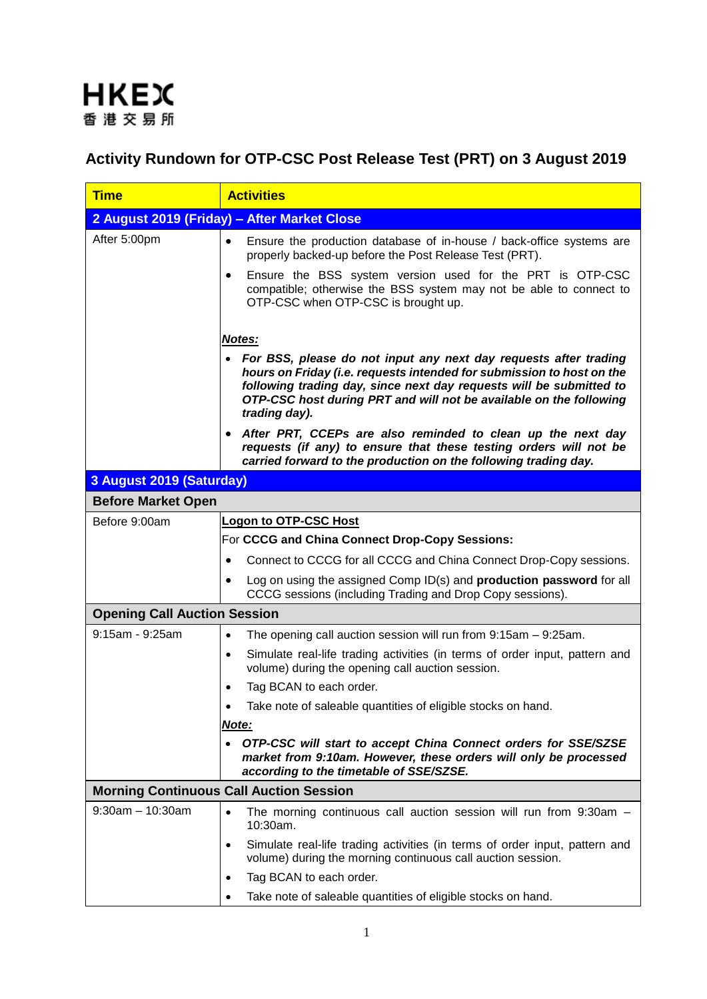

## **Activity Rundown for OTP-CSC Post Release Test (PRT) on 3 August 2019**

| <b>Time</b>                                    | <b>Activities</b>                                                                                                                                                                                                                                                                                         |  |  |  |
|------------------------------------------------|-----------------------------------------------------------------------------------------------------------------------------------------------------------------------------------------------------------------------------------------------------------------------------------------------------------|--|--|--|
|                                                | 2 August 2019 (Friday) - After Market Close                                                                                                                                                                                                                                                               |  |  |  |
| After 5:00pm                                   | Ensure the production database of in-house / back-office systems are<br>properly backed-up before the Post Release Test (PRT).                                                                                                                                                                            |  |  |  |
|                                                | Ensure the BSS system version used for the PRT is OTP-CSC<br>compatible; otherwise the BSS system may not be able to connect to<br>OTP-CSC when OTP-CSC is brought up.                                                                                                                                    |  |  |  |
|                                                | Notes:                                                                                                                                                                                                                                                                                                    |  |  |  |
|                                                | • For BSS, please do not input any next day requests after trading<br>hours on Friday (i.e. requests intended for submission to host on the<br>following trading day, since next day requests will be submitted to<br>OTP-CSC host during PRT and will not be available on the following<br>trading day). |  |  |  |
|                                                | After PRT, CCEPs are also reminded to clean up the next day<br>requests (if any) to ensure that these testing orders will not be<br>carried forward to the production on the following trading day.                                                                                                       |  |  |  |
| 3 August 2019 (Saturday)                       |                                                                                                                                                                                                                                                                                                           |  |  |  |
| <b>Before Market Open</b>                      |                                                                                                                                                                                                                                                                                                           |  |  |  |
| Before 9:00am                                  | <b>Logon to OTP-CSC Host</b>                                                                                                                                                                                                                                                                              |  |  |  |
|                                                | For CCCG and China Connect Drop-Copy Sessions:                                                                                                                                                                                                                                                            |  |  |  |
|                                                | Connect to CCCG for all CCCG and China Connect Drop-Copy sessions.                                                                                                                                                                                                                                        |  |  |  |
|                                                | Log on using the assigned Comp ID(s) and <b>production password</b> for all<br>CCCG sessions (including Trading and Drop Copy sessions).                                                                                                                                                                  |  |  |  |
| <b>Opening Call Auction Session</b>            |                                                                                                                                                                                                                                                                                                           |  |  |  |
| 9:15am - 9:25am                                | The opening call auction session will run from $9:15am - 9:25am$ .<br>$\bullet$                                                                                                                                                                                                                           |  |  |  |
|                                                | Simulate real-life trading activities (in terms of order input, pattern and<br>$\bullet$<br>volume) during the opening call auction session.                                                                                                                                                              |  |  |  |
|                                                | Tag BCAN to each order.<br>٠                                                                                                                                                                                                                                                                              |  |  |  |
|                                                | Take note of saleable quantities of eligible stocks on hand.<br>$\bullet$                                                                                                                                                                                                                                 |  |  |  |
|                                                | Note:                                                                                                                                                                                                                                                                                                     |  |  |  |
|                                                | • OTP-CSC will start to accept China Connect orders for SSE/SZSE<br>market from 9:10am. However, these orders will only be processed<br>according to the timetable of SSE/SZSE.                                                                                                                           |  |  |  |
| <b>Morning Continuous Call Auction Session</b> |                                                                                                                                                                                                                                                                                                           |  |  |  |
| $9:30am - 10:30am$                             | The morning continuous call auction session will run from 9:30am -<br>$\bullet$<br>10:30am.                                                                                                                                                                                                               |  |  |  |
|                                                | Simulate real-life trading activities (in terms of order input, pattern and<br>$\bullet$<br>volume) during the morning continuous call auction session.                                                                                                                                                   |  |  |  |
|                                                | Tag BCAN to each order.<br>٠                                                                                                                                                                                                                                                                              |  |  |  |
|                                                | Take note of saleable quantities of eligible stocks on hand.                                                                                                                                                                                                                                              |  |  |  |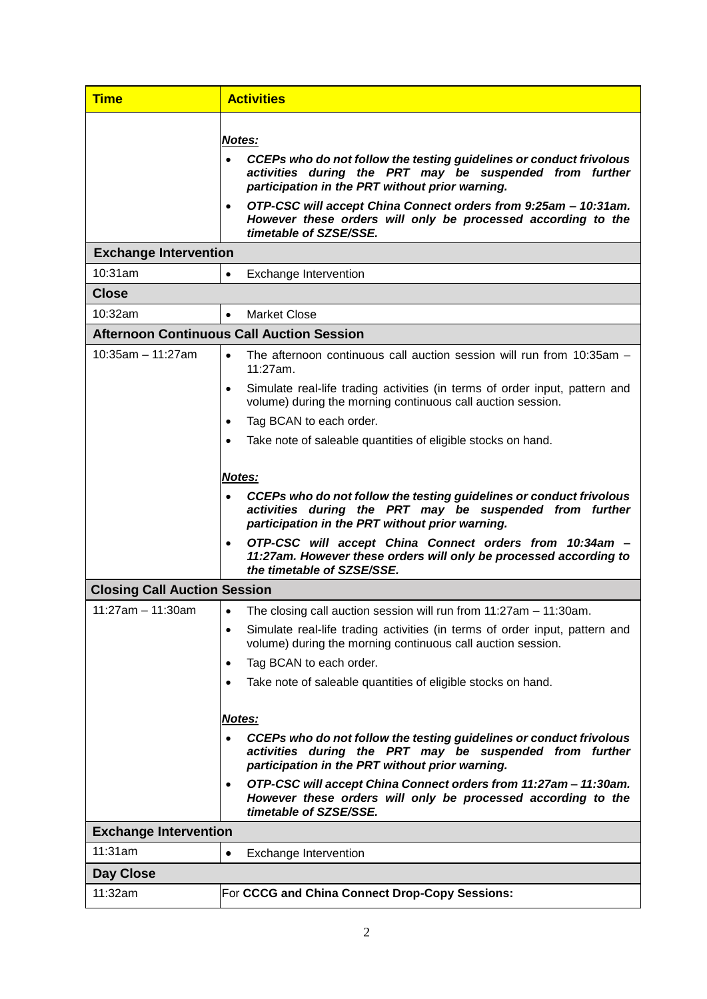| <b>Time</b>                         | <b>Activities</b>                                                                                                                                                                                                                                                                                                                                        |  |  |
|-------------------------------------|----------------------------------------------------------------------------------------------------------------------------------------------------------------------------------------------------------------------------------------------------------------------------------------------------------------------------------------------------------|--|--|
|                                     | Notes:<br>CCEPs who do not follow the testing guidelines or conduct frivolous<br>activities during the PRT may be suspended from further<br>participation in the PRT without prior warning.<br>OTP-CSC will accept China Connect orders from 9:25am - 10:31am.<br>However these orders will only be processed according to the<br>timetable of SZSE/SSE. |  |  |
| <b>Exchange Intervention</b>        |                                                                                                                                                                                                                                                                                                                                                          |  |  |
| 10:31am                             | Exchange Intervention<br>$\bullet$                                                                                                                                                                                                                                                                                                                       |  |  |
| <b>Close</b>                        |                                                                                                                                                                                                                                                                                                                                                          |  |  |
| 10:32am                             | <b>Market Close</b><br>$\bullet$                                                                                                                                                                                                                                                                                                                         |  |  |
|                                     | <b>Afternoon Continuous Call Auction Session</b>                                                                                                                                                                                                                                                                                                         |  |  |
| $10:35am - 11:27am$                 | The afternoon continuous call auction session will run from 10:35am -<br>$\bullet$<br>11:27am.<br>Simulate real-life trading activities (in terms of order input, pattern and<br>$\bullet$                                                                                                                                                               |  |  |
|                                     | volume) during the morning continuous call auction session.                                                                                                                                                                                                                                                                                              |  |  |
|                                     | Tag BCAN to each order.<br>٠<br>Take note of saleable quantities of eligible stocks on hand.                                                                                                                                                                                                                                                             |  |  |
|                                     |                                                                                                                                                                                                                                                                                                                                                          |  |  |
|                                     | <b>Notes:</b>                                                                                                                                                                                                                                                                                                                                            |  |  |
|                                     | CCEPs who do not follow the testing guidelines or conduct frivolous<br>activities during the PRT may be suspended from further<br>participation in the PRT without prior warning.                                                                                                                                                                        |  |  |
|                                     | OTP-CSC will accept China Connect orders from 10:34am -<br>٠<br>11:27am. However these orders will only be processed according to<br>the timetable of SZSE/SSE.                                                                                                                                                                                          |  |  |
| <b>Closing Call Auction Session</b> |                                                                                                                                                                                                                                                                                                                                                          |  |  |
| $11:27am - 11:30am$                 | The closing call auction session will run from 11:27am - 11:30am.<br>$\bullet$                                                                                                                                                                                                                                                                           |  |  |
|                                     | Simulate real-life trading activities (in terms of order input, pattern and<br>٠<br>volume) during the morning continuous call auction session.                                                                                                                                                                                                          |  |  |
|                                     | Tag BCAN to each order.<br>٠                                                                                                                                                                                                                                                                                                                             |  |  |
|                                     | Take note of saleable quantities of eligible stocks on hand.                                                                                                                                                                                                                                                                                             |  |  |
|                                     |                                                                                                                                                                                                                                                                                                                                                          |  |  |
|                                     | <u>Notes:</u>                                                                                                                                                                                                                                                                                                                                            |  |  |
|                                     | CCEPs who do not follow the testing guidelines or conduct frivolous<br>activities during the PRT may be suspended from further<br>participation in the PRT without prior warning.                                                                                                                                                                        |  |  |
|                                     | OTP-CSC will accept China Connect orders from 11:27am - 11:30am.<br>$\bullet$<br>However these orders will only be processed according to the<br>timetable of SZSE/SSE.                                                                                                                                                                                  |  |  |
| <b>Exchange Intervention</b>        |                                                                                                                                                                                                                                                                                                                                                          |  |  |
| 11:31am                             | Exchange Intervention<br>٠                                                                                                                                                                                                                                                                                                                               |  |  |
| Day Close                           |                                                                                                                                                                                                                                                                                                                                                          |  |  |
| 11:32am                             | For CCCG and China Connect Drop-Copy Sessions:                                                                                                                                                                                                                                                                                                           |  |  |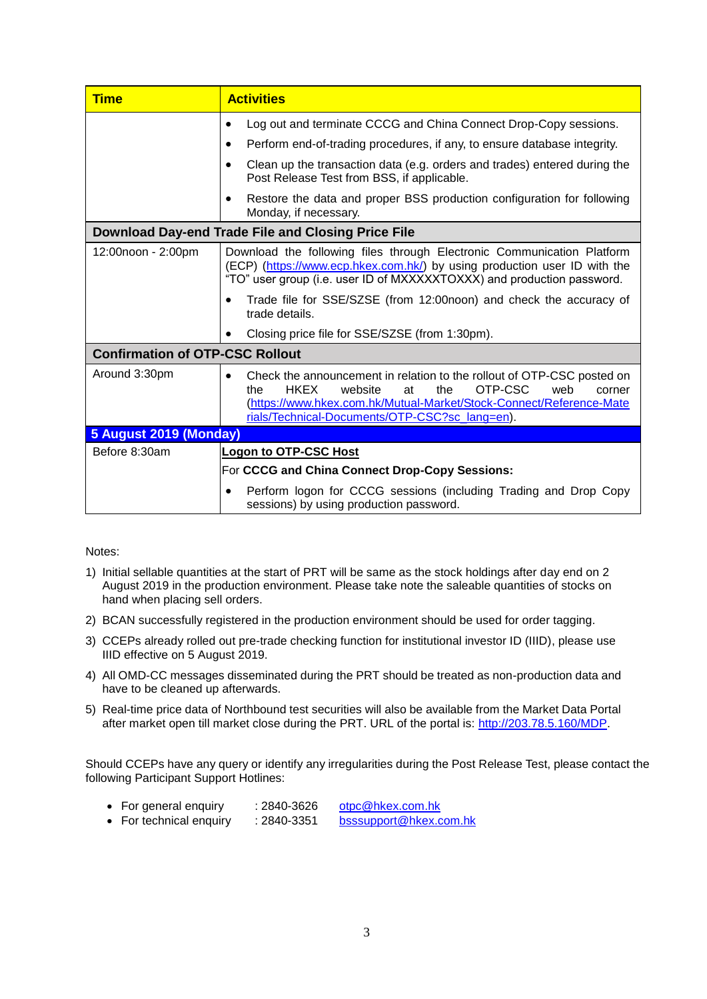| <b>Time</b>                                        | <b>Activities</b>                                                                                                                                                                                                                                                         |  |  |
|----------------------------------------------------|---------------------------------------------------------------------------------------------------------------------------------------------------------------------------------------------------------------------------------------------------------------------------|--|--|
|                                                    | Log out and terminate CCCG and China Connect Drop-Copy sessions.                                                                                                                                                                                                          |  |  |
|                                                    | Perform end-of-trading procedures, if any, to ensure database integrity.                                                                                                                                                                                                  |  |  |
|                                                    | Clean up the transaction data (e.g. orders and trades) entered during the<br>Post Release Test from BSS, if applicable.                                                                                                                                                   |  |  |
|                                                    | Restore the data and proper BSS production configuration for following<br>Monday, if necessary.                                                                                                                                                                           |  |  |
| Download Day-end Trade File and Closing Price File |                                                                                                                                                                                                                                                                           |  |  |
| 12:00noon - 2:00pm                                 | Download the following files through Electronic Communication Platform<br>(ECP) (https://www.ecp.hkex.com.hk/) by using production user ID with the<br>"TO" user group (i.e. user ID of MXXXXXTOXXX) and production password.                                             |  |  |
|                                                    | Trade file for SSE/SZSE (from 12:00noon) and check the accuracy of<br>trade details.                                                                                                                                                                                      |  |  |
|                                                    | Closing price file for SSE/SZSE (from 1:30pm).                                                                                                                                                                                                                            |  |  |
| <b>Confirmation of OTP-CSC Rollout</b>             |                                                                                                                                                                                                                                                                           |  |  |
| Around 3:30pm                                      | Check the announcement in relation to the rollout of OTP-CSC posted on<br><b>HKEX</b><br>the<br>OTP-CSC<br>web<br>website<br>at<br>the<br>corner<br>(https://www.hkex.com.hk/Mutual-Market/Stock-Connect/Reference-Mate<br>rials/Technical-Documents/OTP-CSC?sc_lang=en). |  |  |
| 5 August 2019 (Monday)                             |                                                                                                                                                                                                                                                                           |  |  |
| Before 8:30am                                      | <b>Logon to OTP-CSC Host</b>                                                                                                                                                                                                                                              |  |  |
|                                                    | For CCCG and China Connect Drop-Copy Sessions:                                                                                                                                                                                                                            |  |  |
|                                                    | Perform logon for CCCG sessions (including Trading and Drop Copy<br>sessions) by using production password.                                                                                                                                                               |  |  |

## Notes:

- 1) Initial sellable quantities at the start of PRT will be same as the stock holdings after day end on 2 August 2019 in the production environment. Please take note the saleable quantities of stocks on hand when placing sell orders.
- 2) BCAN successfully registered in the production environment should be used for order tagging.
- 3) CCEPs already rolled out pre-trade checking function for institutional investor ID (IIID), please use IIID effective on 5 August 2019.
- 4) All OMD-CC messages disseminated during the PRT should be treated as non-production data and have to be cleaned up afterwards.
- 5) Real-time price data of Northbound test securities will also be available from the Market Data Portal after market open till market close during the PRT. URL of the portal is: [http://203.78.5.160/MDP.](http://203.78.5.160/MDP)

Should CCEPs have any query or identify any irregularities during the Post Release Test, please contact the following Participant Support Hotlines:

- For general enquiry : 2840-3626 [otpc@hkex.com.hk](mailto:otpc@hkex.com.hk)
- For technical enquiry : 2840-3351 [bsssupport@hkex.com.hk](mailto:bsssupport@hkex.com.hk)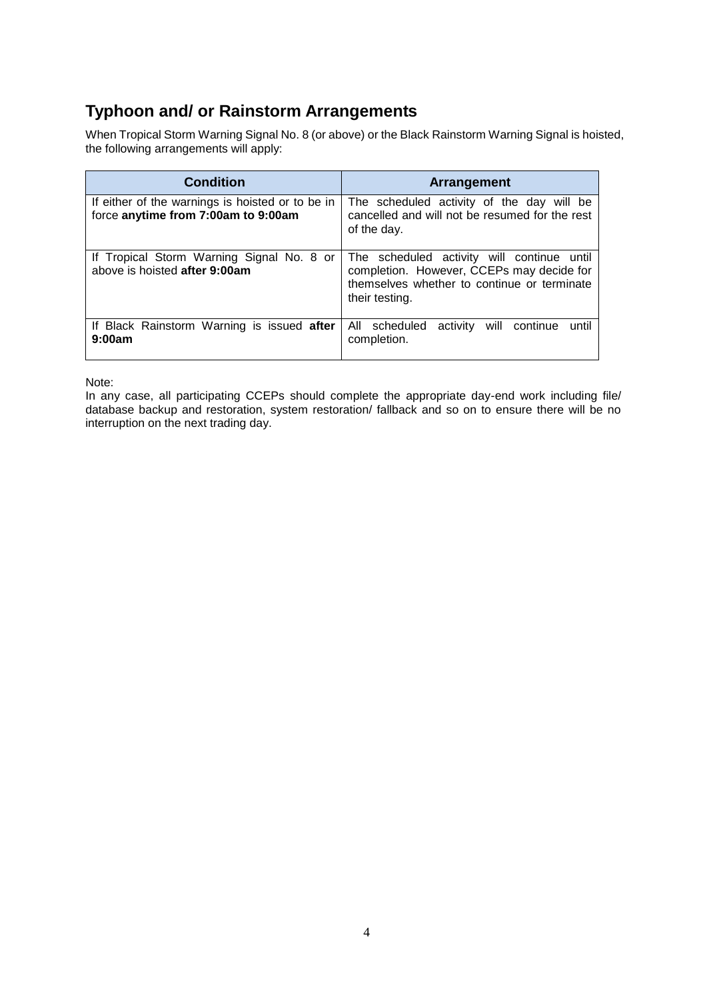## **Typhoon and/ or Rainstorm Arrangements**

When Tropical Storm Warning Signal No. 8 (or above) or the Black Rainstorm Warning Signal is hoisted, the following arrangements will apply:

| <b>Condition</b>                                                                        | Arrangement                                                                                                                                              |
|-----------------------------------------------------------------------------------------|----------------------------------------------------------------------------------------------------------------------------------------------------------|
| If either of the warnings is hoisted or to be in<br>force anytime from 7:00am to 9:00am | The scheduled activity of the day will be<br>cancelled and will not be resumed for the rest<br>of the day.                                               |
| If Tropical Storm Warning Signal No. 8 or<br>above is hoisted after 9:00am              | The scheduled activity will continue until<br>completion. However, CCEPs may decide for<br>themselves whether to continue or terminate<br>their testing. |
| If Black Rainstorm Warning is issued after<br>9:00am                                    | All scheduled<br>will continue<br>activity<br>until<br>completion.                                                                                       |

Note:

In any case, all participating CCEPs should complete the appropriate day-end work including file/ database backup and restoration, system restoration/ fallback and so on to ensure there will be no interruption on the next trading day.